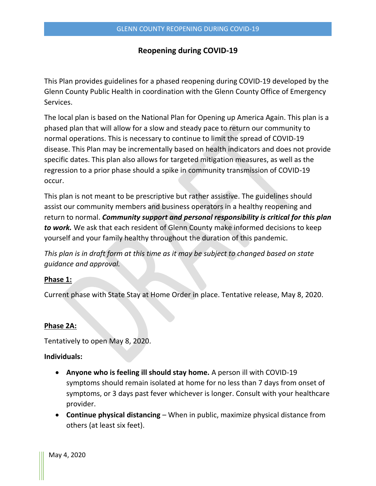# **Reopening during COVID-19**

This Plan provides guidelines for a phased reopening during COVID-19 developed by the Glenn County Public Health in coordination with the Glenn County Office of Emergency Services.

The local plan is based on the National Plan for Opening up America Again. This plan is a phased plan that will allow for a slow and steady pace to return our community to normal operations. This is necessary to continue to limit the spread of COVID-19 disease. This Plan may be incrementally based on health indicators and does not provide specific dates. This plan also allows for targeted mitigation measures, as well as the regression to a prior phase should a spike in community transmission of COVID-19 occur.

This plan is not meant to be prescriptive but rather assistive. The guidelines should assist our community members and business operators in a healthy reopening and return to normal. *Community support and personal responsibility is critical for this plan to work.* We ask that each resident of Glenn County make informed decisions to keep yourself and your family healthy throughout the duration of this pandemic.

*This plan is in draft form at this time as it may be subject to changed based on state guidance and approval.*

## **Phase 1:**

Current phase with State Stay at Home Order in place. Tentative release, May 8, 2020.

#### **Phase 2A:**

Tentatively to open May 8, 2020.

### **Individuals:**

- **Anyone who is feeling ill should stay home.** A person ill with COVID-19 symptoms should remain isolated at home for no less than 7 days from onset of symptoms, or 3 days past fever whichever is longer. Consult with your healthcare provider.
- **Continue physical distancing** When in public, maximize physical distance from others (at least six feet).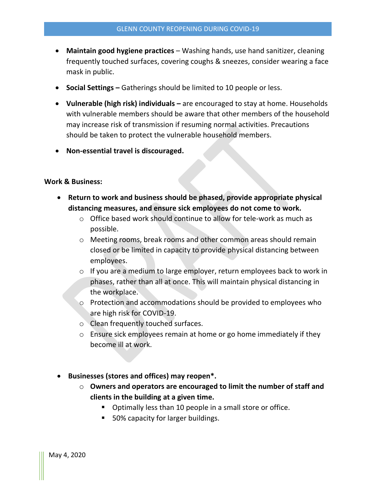- **Maintain good hygiene practices**  Washing hands, use hand sanitizer, cleaning frequently touched surfaces, covering coughs & sneezes, consider wearing a face mask in public.
- **Social Settings –** Gatherings should be limited to 10 people or less.
- **Vulnerable (high risk) individuals –** are encouraged to stay at home. Households with vulnerable members should be aware that other members of the household may increase risk of transmission if resuming normal activities. Precautions should be taken to protect the vulnerable household members.
- **Non-essential travel is discouraged.**

### **Work & Business:**

- **Return to work and business should be phased, provide appropriate physical distancing measures, and ensure sick employees do not come to work.**
	- $\circ$  Office based work should continue to allow for tele-work as much as possible.
	- o Meeting rooms, break rooms and other common areas should remain closed or be limited in capacity to provide physical distancing between employees.
	- o If you are a medium to large employer, return employees back to work in phases, rather than all at once. This will maintain physical distancing in the workplace.
	- o Protection and accommodations should be provided to employees who are high risk for COVID-19.
	- o Clean frequently touched surfaces.
	- $\circ$  Ensure sick employees remain at home or go home immediately if they become ill at work.
- **Businesses (stores and offices) may reopen\*.** 
	- o **Owners and operators are encouraged to limit the number of staff and clients in the building at a given time.**
		- **Depart 10 Degotal** Opeople in a small store or office.
		- 50% capacity for larger buildings.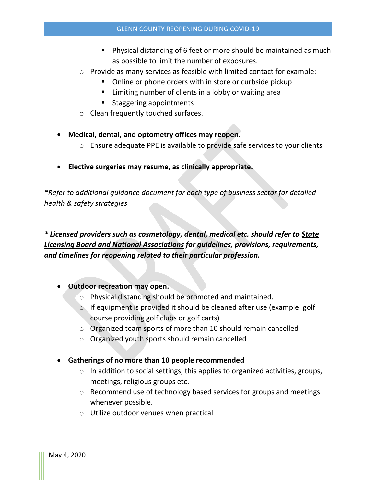- **Physical distancing of 6 feet or more should be maintained as much** as possible to limit the number of exposures.
- $\circ$  Provide as many services as feasible with limited contact for example:
	- Online or phone orders with in store or curbside pickup
	- **EXT** Limiting number of clients in a lobby or waiting area
	- **Staggering appointments**
- o Clean frequently touched surfaces.
- **Medical, dental, and optometry offices may reopen.**
	- $\circ$  Ensure adequate PPE is available to provide safe services to your clients
- **Elective surgeries may resume, as clinically appropriate.**

*\*Refer to additional guidance document for each type of business sector for detailed health & safety strategies*

*\* Licensed providers such as cosmetology, dental, medical etc. should refer to State Licensing Board and National Associations for guidelines, provisions, requirements, and timelines for reopening related to their particular profession.*

# **Outdoor recreation may open.**

- o Physical distancing should be promoted and maintained.
- o If equipment is provided it should be cleaned after use (example: golf course providing golf clubs or golf carts)
- o Organized team sports of more than 10 should remain cancelled
- o Organized youth sports should remain cancelled
- **Gatherings of no more than 10 people recommended**
	- o In addition to social settings, this applies to organized activities, groups, meetings, religious groups etc.
	- o Recommend use of technology based services for groups and meetings whenever possible.
	- o Utilize outdoor venues when practical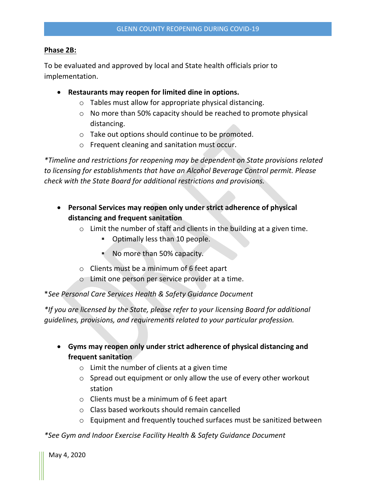# **Phase 2B:**

To be evaluated and approved by local and State health officials prior to implementation.

- **Restaurants may reopen for limited dine in options.**
	- o Tables must allow for appropriate physical distancing.
	- o No more than 50% capacity should be reached to promote physical distancing.
	- o Take out options should continue to be promoted.
	- o Frequent cleaning and sanitation must occur.

*\*Timeline and restrictions for reopening may be dependent on State provisions related to licensing for establishments that have an Alcohol Beverage Control permit. Please check with the State Board for additional restrictions and provisions.*

- **Personal Services may reopen only under strict adherence of physical distancing and frequent sanitation**
	- $\circ$  Limit the number of staff and clients in the building at a given time.
		- **Optimally less than 10 people.**
		- No more than 50% capacity.
	- o Clients must be a minimum of 6 feet apart
	- o Limit one person per service provider at a time.

\**See Personal Care Services Health & Safety Guidance Document*

*\*If you are licensed by the State, please refer to your licensing Board for additional guidelines, provisions, and requirements related to your particular profession.*

- **Gyms may reopen only under strict adherence of physical distancing and frequent sanitation**
	- $\circ$  Limit the number of clients at a given time
	- $\circ$  Spread out equipment or only allow the use of every other workout station
	- o Clients must be a minimum of 6 feet apart
	- o Class based workouts should remain cancelled
	- o Equipment and frequently touched surfaces must be sanitized between

*\*See Gym and Indoor Exercise Facility Health & Safety Guidance Document*

May 4, 2020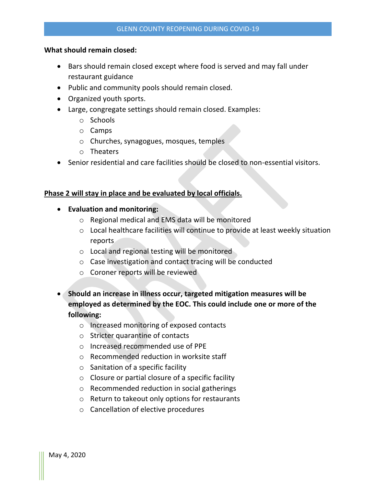# **What should remain closed:**

- Bars should remain closed except where food is served and may fall under restaurant guidance
- Public and community pools should remain closed.
- Organized youth sports.
- Large, congregate settings should remain closed. Examples:
	- o Schools
	- o Camps
	- o Churches, synagogues, mosques, temples
	- o Theaters
- Senior residential and care facilities should be closed to non-essential visitors.

# **Phase 2 will stay in place and be evaluated by local officials.**

- **Evaluation and monitoring:**
	- o Regional medical and EMS data will be monitored
	- o Local healthcare facilities will continue to provide at least weekly situation reports
	- o Local and regional testing will be monitored
	- o Case investigation and contact tracing will be conducted
	- o Coroner reports will be reviewed
- **Should an increase in illness occur, targeted mitigation measures will be employed as determined by the EOC. This could include one or more of the following:**
	- o Increased monitoring of exposed contacts
	- o Stricter quarantine of contacts
	- o Increased recommended use of PPE
	- o Recommended reduction in worksite staff
	- $\circ$  Sanitation of a specific facility
	- o Closure or partial closure of a specific facility
	- o Recommended reduction in social gatherings
	- o Return to takeout only options for restaurants
	- o Cancellation of elective procedures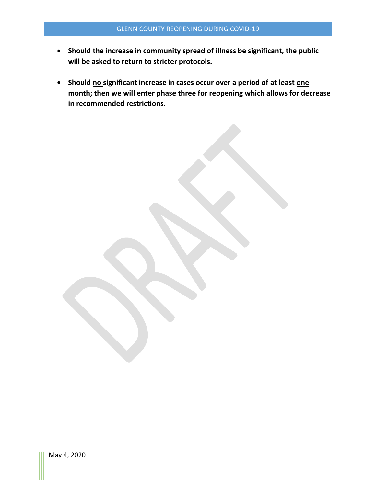- **Should the increase in community spread of illness be significant, the public will be asked to return to stricter protocols.**
- **•** Should no significant increase in cases occur over a period of at least one **month; then we will enter phase three for reopening which allows for decrease in recommended restrictions.**

May 4, 2020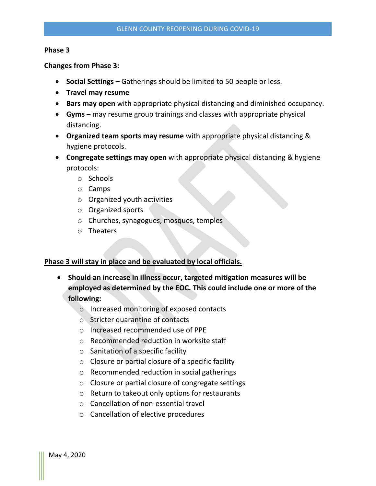### **Phase 3**

**Changes from Phase 3:**

- **Social Settings –** Gatherings should be limited to 50 people or less.
- **Travel may resume**
- **Bars may open** with appropriate physical distancing and diminished occupancy.
- **Gyms –** may resume group trainings and classes with appropriate physical distancing.
- **Organized team sports may resume** with appropriate physical distancing & hygiene protocols.
- **Congregate settings may open** with appropriate physical distancing & hygiene protocols:
	- o Schools
	- o Camps
	- o Organized youth activities
	- o Organized sports
	- o Churches, synagogues, mosques, temples
	- o Theaters

# **Phase 3 will stay in place and be evaluated by local officials.**

- **Should an increase in illness occur, targeted mitigation measures will be employed as determined by the EOC. This could include one or more of the following:**
	- o Increased monitoring of exposed contacts
	- o Stricter quarantine of contacts
	- o Increased recommended use of PPE
	- o Recommended reduction in worksite staff
	- $\circ$  Sanitation of a specific facility
	- o Closure or partial closure of a specific facility
	- o Recommended reduction in social gatherings
	- o Closure or partial closure of congregate settings
	- o Return to takeout only options for restaurants
	- o Cancellation of non-essential travel
	- o Cancellation of elective procedures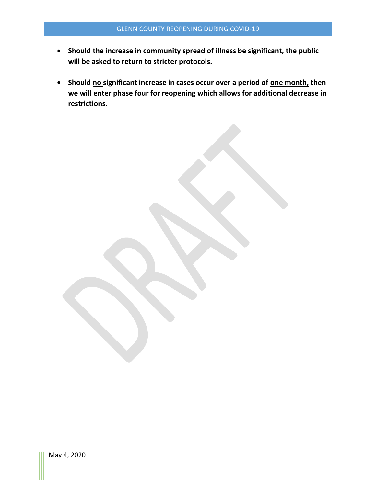- **Should the increase in community spread of illness be significant, the public will be asked to return to stricter protocols.**
- **•** Should no significant increase in cases occur over a period of one month, then **we will enter phase four for reopening which allows for additional decrease in restrictions.**